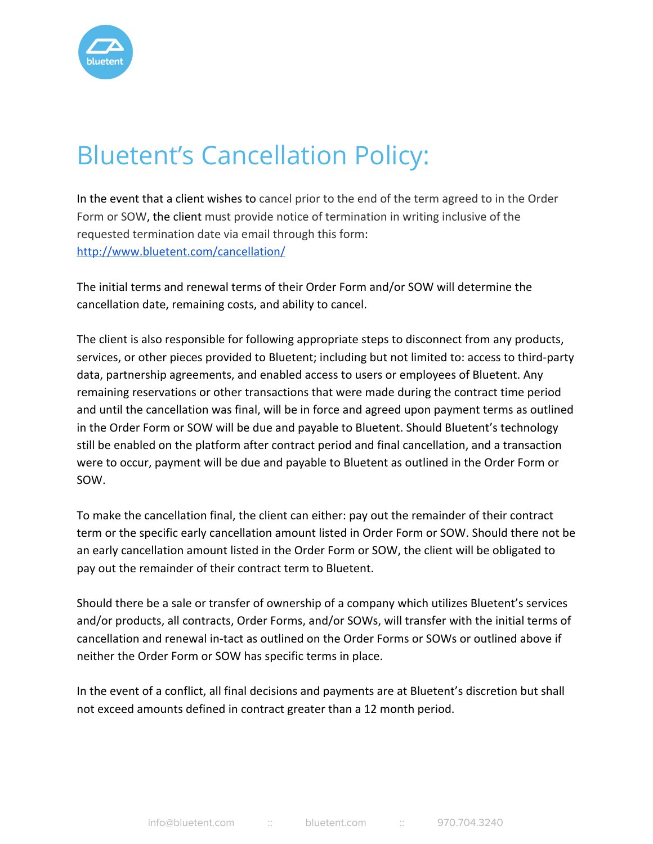

## Bluetent's Cancellation Policy:

In the event that a client wishes to cancel prior to the end of the term agreed to in the Order Form or SOW, the client must provide notice of termination in writing inclusive of the requested termination date via email through this form: <http://www.bluetent.com/cancellation/>

The initial terms and renewal terms of their Order Form and/or SOW will determine the cancellation date, remaining costs, and ability to cancel.

The client is also responsible for following appropriate steps to disconnect from any products, services, or other pieces provided to Bluetent; including but not limited to: access to third-party data, partnership agreements, and enabled access to users or employees of Bluetent. Any remaining reservations or other transactions that were made during the contract time period and until the cancellation was final, will be in force and agreed upon payment terms as outlined in the Order Form or SOW will be due and payable to Bluetent. Should Bluetent's technology still be enabled on the platform after contract period and final cancellation, and a transaction were to occur, payment will be due and payable to Bluetent as outlined in the Order Form or SOW.

To make the cancellation final, the client can either: pay out the remainder of their contract term or the specific early cancellation amount listed in Order Form or SOW. Should there not be an early cancellation amount listed in the Order Form or SOW, the client will be obligated to pay out the remainder of their contract term to Bluetent.

Should there be a sale or transfer of ownership of a company which utilizes Bluetent's services and/or products, all contracts, Order Forms, and/or SOWs, will transfer with the initial terms of cancellation and renewal in-tact as outlined on the Order Forms or SOWs or outlined above if neither the Order Form or SOW has specific terms in place.

In the event of a conflict, all final decisions and payments are at Bluetent's discretion but shall not exceed amounts defined in contract greater than a 12 month period.